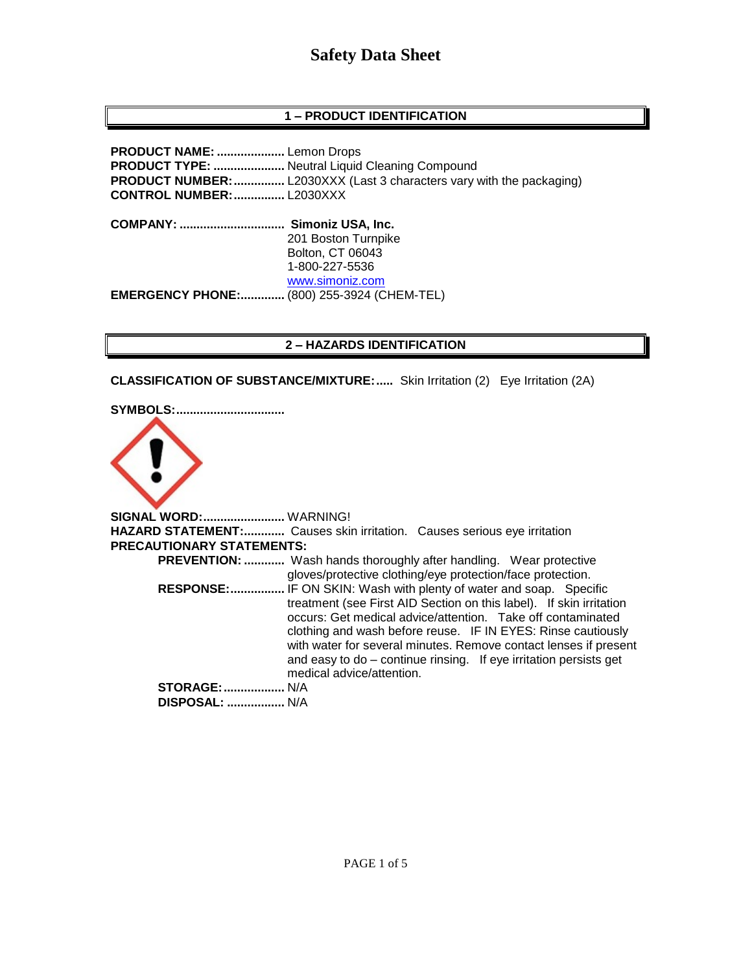# **1 – PRODUCT IDENTIFICATION**

**PRODUCT NAME: ....................** Lemon Drops **PRODUCT TYPE: .....................** Neutral Liquid Cleaning Compound **PRODUCT NUMBER:**................. L2030XXX (Last 3 characters vary with the packaging) **CONTROL NUMBER:...............** L2030XXX **COMPANY: ............................... Simoniz USA, Inc.** 201 Boston Turnpike Bolton, CT 06043 1-800-227-5536 [www.simoniz.com](http://www.simoniz.com/) **EMERGENCY PHONE:.............** (800) 255-3924 (CHEM-TEL)

# **2 – HAZARDS IDENTIFICATION**

**CLASSIFICATION OF SUBSTANCE/MIXTURE:.....** Skin Irritation (2) Eye Irritation (2A)



**SIGNAL WORD:........................** WARNING! **HAZARD STATEMENT:............** Causes skin irritation. Causes serious eye irritation **PRECAUTIONARY STATEMENTS: PREVENTION: ............** Wash hands thoroughly after handling. Wear protective gloves/protective clothing/eye protection/face protection.  **RESPONSE:................** IF ON SKIN: Wash with plenty of water and soap. Specific treatment (see First AID Section on this label). If skin irritation occurs: Get medical advice/attention. Take off contaminated clothing and wash before reuse. IF IN EYES: Rinse cautiously with water for several minutes. Remove contact lenses if present and easy to do – continue rinsing. If eye irritation persists get medical advice/attention. **STORAGE:..................** N/A  **DISPOSAL: .................** N/A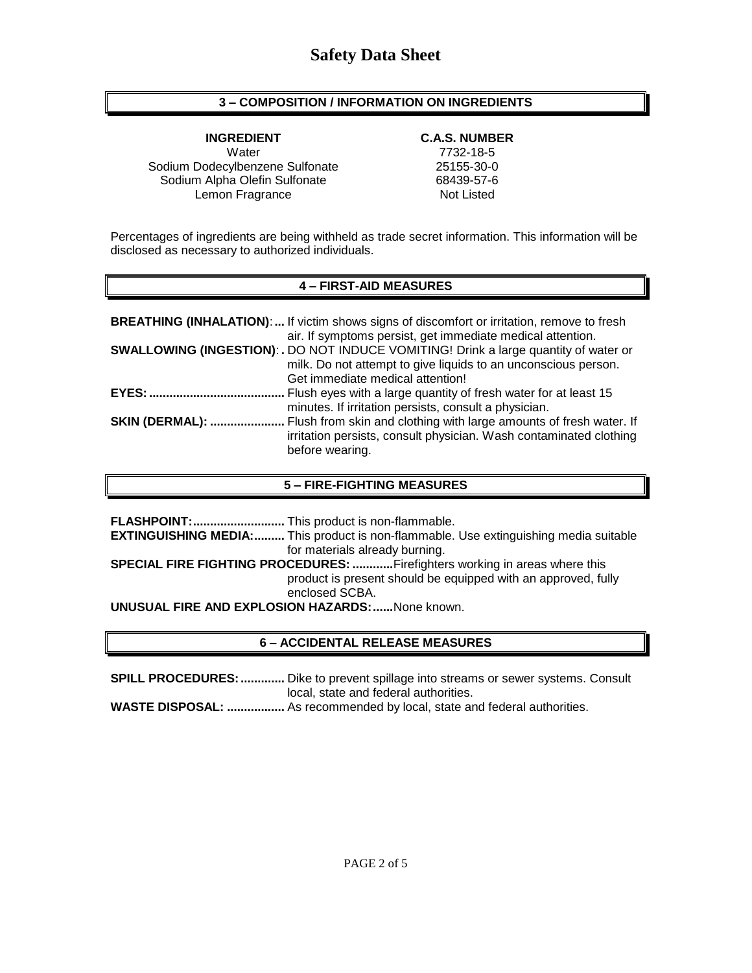# **3 – COMPOSITION / INFORMATION ON INGREDIENTS**

**INGREDIENT C.A.S. NUMBER** Water 7732-18-5 Sodium Dodecylbenzene Sulfonate 25155-30-0 Sodium Alpha Olefin Sulfonate 68439-57-6 Lemon Fragrance Not Listed

Percentages of ingredients are being withheld as trade secret information. This information will be disclosed as necessary to authorized individuals.

# **4 – FIRST-AID MEASURES**

|                        | <b>BREATHING (INHALATION):</b> If victim shows signs of discomfort or irritation, remove to fresh<br>air. If symptoms persist, get immediate medical attention.                                   |
|------------------------|---------------------------------------------------------------------------------------------------------------------------------------------------------------------------------------------------|
|                        | <b>SWALLOWING (INGESTION): .</b> DO NOT INDUCE VOMITING! Drink a large quantity of water or<br>milk. Do not attempt to give liquids to an unconscious person.<br>Get immediate medical attention! |
| <b>EYES: </b>          | Flush eyes with a large quantity of fresh water for at least 15<br>minutes. If irritation persists, consult a physician.                                                                          |
| <b>SKIN (DERMAL): </b> | Flush from skin and clothing with large amounts of fresh water. If<br>irritation persists, consult physician. Wash contaminated clothing<br>before wearing.                                       |

## **5 – FIRE-FIGHTING MEASURES**

|                                                                                   | <b>EXTINGUISHING MEDIA:</b> This product is non-flammable. Use extinguishing media suitable |  |
|-----------------------------------------------------------------------------------|---------------------------------------------------------------------------------------------|--|
|                                                                                   | for materials already burning.                                                              |  |
| <b>SPECIAL FIRE FIGHTING PROCEDURES: Firefighters working in areas where this</b> |                                                                                             |  |
|                                                                                   | product is present should be equipped with an approved, fully                               |  |
|                                                                                   | enclosed SCBA.                                                                              |  |
| <b>UNUSUAL FIRE AND EXPLOSION HAZARDS:  None known.</b>                           |                                                                                             |  |

# **6 – ACCIDENTAL RELEASE MEASURES**

**SPILL PROCEDURES:.............** Dike to prevent spillage into streams or sewer systems. Consult local, state and federal authorities.

**WASTE DISPOSAL: .................** As recommended by local, state and federal authorities.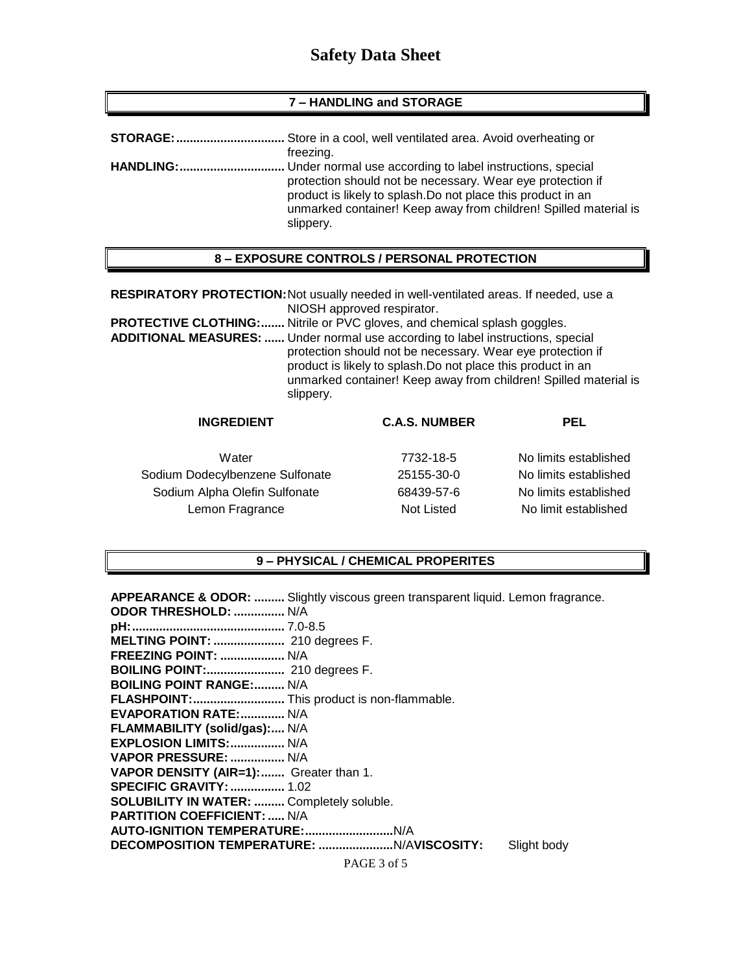#### **7 – HANDLING and STORAGE**

| <b>STORAGE:</b>  | Store in a cool, well ventilated area. Avoid overheating or                                                                                                                                                                                                              |
|------------------|--------------------------------------------------------------------------------------------------------------------------------------------------------------------------------------------------------------------------------------------------------------------------|
|                  | freezing.                                                                                                                                                                                                                                                                |
| <b>HANDLING:</b> | Under normal use according to label instructions, special<br>protection should not be necessary. Wear eye protection if<br>product is likely to splash. Do not place this product in an<br>unmarked container! Keep away from children! Spilled material is<br>slippery. |

#### **8 – EXPOSURE CONTROLS / PERSONAL PROTECTION**

**RESPIRATORY PROTECTION:**Not usually needed in well-ventilated areas. If needed, use a NIOSH approved respirator.

**PROTECTIVE CLOTHING:.......** Nitrile or PVC gloves, and chemical splash goggles.

**ADDITIONAL MEASURES: ......** Under normal use according to label instructions, special protection should not be necessary. Wear eye protection if product is likely to splash.Do not place this product in an unmarked container! Keep away from children! Spilled material is slippery.

# **INGREDIENT C.A.S. NUMBER PEL**

Sodium Dodecylbenzene Sulfonate 25155-30-0 No limits established Sodium Alpha Olefin Sulfonate 68439-57-6 No limits established Lemon Fragrance Not Listed No limit established

| Water                | 7732-18-5  | No limits established |
|----------------------|------------|-----------------------|
| cylbenzene Sulfonate | 25155-30-0 | No limits established |
| ha Olefin Sulfonate  | 68439-57-6 | No limits established |
| n Fragrance          | Not Listed | No limit established  |

#### **9 – PHYSICAL / CHEMICAL PROPERITES**

|                                                  | <b>APPEARANCE &amp; ODOR: </b> Slightly viscous green transparent liquid. Lemon fragrance. |
|--------------------------------------------------|--------------------------------------------------------------------------------------------|
| <b>ODOR THRESHOLD:  N/A</b>                      |                                                                                            |
|                                                  |                                                                                            |
| MELTING POINT:  210 degrees F.                   |                                                                                            |
| <b>FREEZING POINT:  N/A</b>                      |                                                                                            |
| <b>BOILING POINT:</b> 210 degrees F.             |                                                                                            |
| <b>BOILING POINT RANGE: N/A</b>                  |                                                                                            |
| FLASHPOINT: This product is non-flammable.       |                                                                                            |
| <b>EVAPORATION RATE:  N/A</b>                    |                                                                                            |
| FLAMMABILITY (solid/gas): N/A                    |                                                                                            |
| <b>EXPLOSION LIMITS:  N/A</b>                    |                                                                                            |
| VAPOR PRESSURE:  N/A                             |                                                                                            |
| VAPOR DENSITY (AIR=1): Greater than 1.           |                                                                                            |
| <b>SPECIFIC GRAVITY:  1.02</b>                   |                                                                                            |
| <b>SOLUBILITY IN WATER:  Completely soluble.</b> |                                                                                            |
| <b>PARTITION COEFFICIENT:  N/A</b>               |                                                                                            |
|                                                  |                                                                                            |
|                                                  | Slight body                                                                                |
|                                                  | PAGE 3 of 5                                                                                |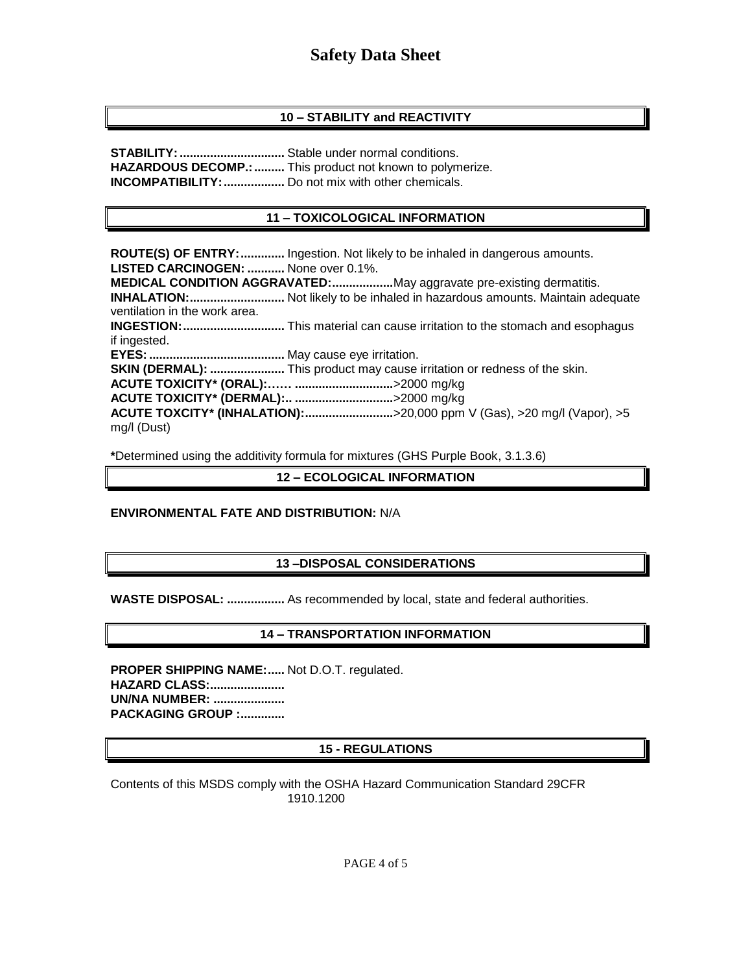# **10 – STABILITY and REACTIVITY**

**STABILITY:...............................** Stable under normal conditions. HAZARDOUS DECOMP.: ......... This product not known to polymerize. **INCOMPATIBILITY:..................** Do not mix with other chemicals.

# **11 – TOXICOLOGICAL INFORMATION**

**ROUTE(S) OF ENTRY:.............** Ingestion. Not likely to be inhaled in dangerous amounts. **LISTED CARCINOGEN: ...........** None over 0.1%. **MEDICAL CONDITION AGGRAVATED:..................**May aggravate pre-existing dermatitis. **INHALATION:............................** Not likely to be inhaled in hazardous amounts. Maintain adequate ventilation in the work area. **INGESTION:..............................** This material can cause irritation to the stomach and esophagus if ingested. **EYES:........................................** May cause eye irritation. **SKIN (DERMAL): ......................** This product may cause irritation or redness of the skin. **ACUTE TOXICITY\* (ORAL):…… .............................**>2000 mg/kg **ACUTE TOXICITY\* (DERMAL):.. .............................**>2000 mg/kg **ACUTE TOXCITY\* (INHALATION):..........................**>20,000 ppm V (Gas), >20 mg/l (Vapor), >5 mg/l (Dust)

**\***Determined using the additivity formula for mixtures (GHS Purple Book, 3.1.3.6)

### **12 – ECOLOGICAL INFORMATION**

# **ENVIRONMENTAL FATE AND DISTRIBUTION:** N/A

# **13 –DISPOSAL CONSIDERATIONS**

**WASTE DISPOSAL: .................** As recommended by local, state and federal authorities.

# **14 – TRANSPORTATION INFORMATION**

**PROPER SHIPPING NAME:.....** Not D.O.T. regulated. **HAZARD CLASS:...................... UN/NA NUMBER: ..................... PACKAGING GROUP :.............**

# **15 - REGULATIONS**

Contents of this MSDS comply with the OSHA Hazard Communication Standard 29CFR 1910.1200

PAGE 4 of 5